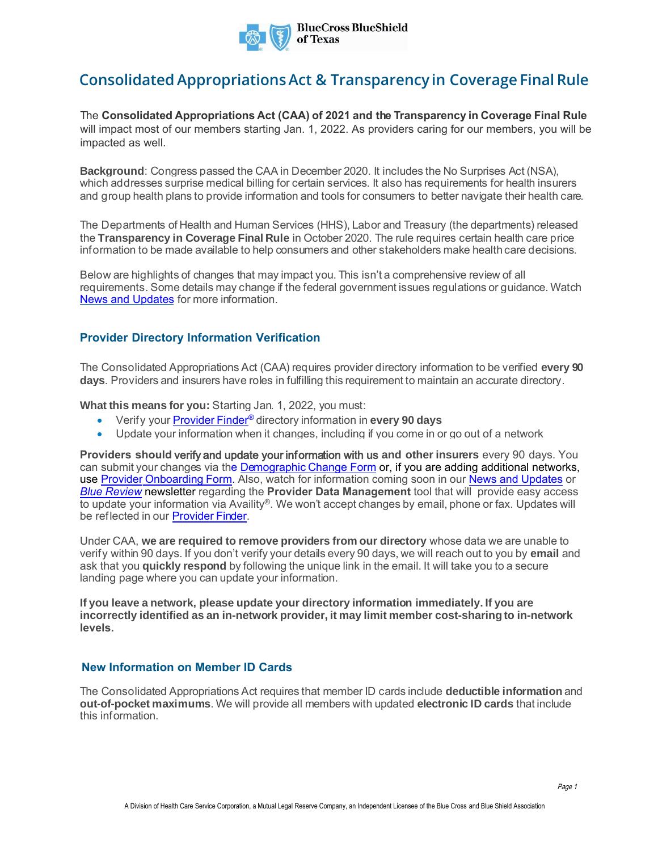

# **Consolidated Appropriations Act & Transparency in Coverage Final Rule**

The **Consolidated Appropriations Act (CAA) of 2021 and the Transparency in Coverage Final Rule** will impact most of our members starting Jan. 1, 2022. As providers caring for our members, you will be impacted as well.

**Background**: Congress passed the CAA in December 2020. It includes the No Surprises Act (NSA), which addresses surprise medical billing for certain services. It also has requirements for health insurers and group health plans to provide information and tools for consumers to better navigate their health care.

The Departments of Health and Human Services (HHS), Labor and Treasury (the departments) released the **Transparency in Coverage Final Rule** in October 2020. The rule requires certain health care price information to be made available to help consumers and other stakeholders make health care decisions.

Below are highlights of changes that may impact you. This isn't a comprehensive review of all requirements. Some details may change if the federal government issues regulations or guidance. Watch [News and Updates](https://www.bcbstx.com/provider/education/education/news) for more information.

# **Provider Directory Information Verification**

The Consolidated Appropriations Act (CAA) requires provider directory information to be verified **every 90 days**. Providers and insurers have roles in fulfilling this requirement to maintain an accurate directory.

**What this means for you:** Starting Jan. 1, 2022, you must:

- Verify your [Provider Finder](https://www.bcbstx.com/find-care/providers-in-your-network/find-a-doctor-or-hospital)[®](https://www.bcbstx.com/find-care/providers-in-your-network/find-a-doctor-or-hospital) directory information in **every 90 days**
- Update your information when it changes, including if you come in or go out of a network

**Providers should** verify and update your information with us **and other insurers** every 90 days. You can submit your changes via the [Demographic Change Form](https://hcscproviderintake.secure.force.com/TXDemographUpdate) or, if you are adding additional networks, use Provider [Onboarding Form.](https://www.bcbstx.com/provider/network/network/provider-onboarding-process) Also, watch for information coming soon in our [News and Updates](https://www.bcbstx.com/provider/education/education/news) or *[Blue Review](https://www.bcbstx.com/provider/education/education/bluereview)* newsletter regarding the **Provider Data Management** tool that will provide easy access to update your information via Availity®. We won't accept changes by email, phone or fax. Updates will be reflected in our [Provider Finder.](https://www.bcbstx.com/find-care/providers-in-your-network/find-a-doctor-or-hospital)

Under CAA, **we are required to remove providers from our directory** whose data we are unable to verify within 90 days. If you don't verify your details every 90 days, we will reach out to you by **email** and ask that you **quickly respond** by following the unique link in the email. It will take you to a secure landing page where you can update your information.

**If you leave a network, please update your directory information immediately. If you are incorrectly identified as an in-network provider, it may limit member cost-sharing to in-network levels.**

# **New Information on Member ID Cards**

The Consolidated Appropriations Act requires that member ID cards include **deductible information** and **out-of-pocket maximums**. We will provide all members with updated **electronic ID cards** that include this information.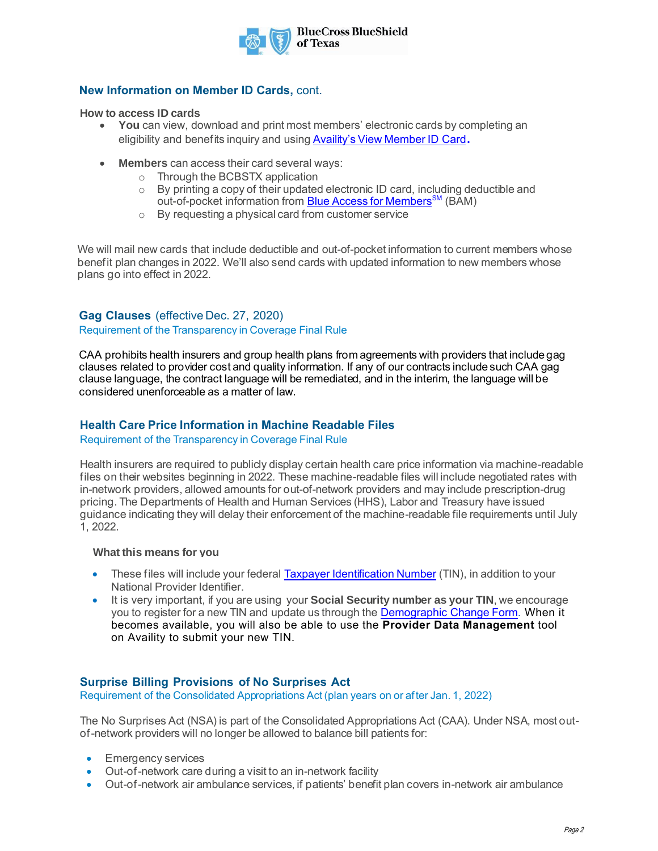

# **New Information on Member ID Cards,** cont.

#### **How to access ID cards**

- **You** can view, download and print most members' electronic cards by completing an eligibility and benefits inquiry and using [Availity's View Member ID Card](https://www.bcbstx.com/provider/education/education/news/2020-archive/11-16-2020-member-id-cards)**.**
- **Members** can access their card several ways:
	- o Through the BCBSTX application
	- o By printing a copy of their updated electronic ID card, including deductible and out-of-pocket information from [Blue Access for Members](https://www.bcbstx.com/member/member-resources/member-services)<sup>[SM](https://members.hcsc.net/wps/portal/bam)</sup> (BAM)
	- o By requesting a physical card from customer service

We will mail new cards that include deductible and out-of-pocket information to current members whose benefit plan changes in 2022. We'll also send cards with updated information to new members whose plans go into effect in 2022.

# **Gag Clauses** (effective Dec. 27, 2020)

## Requirement of the Transparency in Coverage Final Rule

CAA prohibits health insurers and group health plans from agreements with providers that include gag clauses related to provider cost and quality information. If any of our contracts include such CAA gag clause language, the contract language will be remediated, and in the interim, the language will be considered unenforceable as a matter of law.

# **Health Care Price Information in Machine Readable Files**

#### Requirement of the Transparency in Coverage Final Rule

Health insurers are required to publicly display certain health care price information via machine-readable files on their websites beginning in 2022. These machine-readable files will include negotiated rates with in-network providers, allowed amounts for out-of-network providers and may include prescription-drug pricing. The Departments of Health and Human Services (HHS), Labor and Treasury have issued guidance indicating they will delay their enforcement of the machine-readable file requirements until July 1, 2022.

## **What this means for you**

- These files will include your feder[al Taxpayer Identification Number](https://www.irs.gov/individuals/international-taxpayers/taxpayer-identification-numbers-tin#:~:text=How%20Do%20I%20Get%20A%20TIN%3F%201%20SSN.,ITIN.%20...%204%20ATIN.%20...%205%20PTIN.%20) (TIN), in addition to your National Provider Identifier.
- It is very important, if you are using your **Social Security number as your TIN**, we encourage you to register for a new TIN and update us through th[e Demographic](https://hcscproviderintake.secure.force.com/TXDemographUpdate) Change Form. When it becomes available, you will also be able to use the **Provider Data Management** tool on Availity to submit your new TIN.

# **Surprise Billing Provisions of No Surprises Act**

Requirement of the Consolidated Appropriations Act (plan years on or after Jan. 1, 2022)

The No Surprises Act (NSA) is part of the Consolidated Appropriations Act (CAA). Under NSA, most outof-network providers will no longer be allowed to balance bill patients for:

- Emergency services
- Out-of-network care during a visit to an in-network facility
- Out-of-network air ambulance services, if patients' benefit plan covers in-network air ambulance